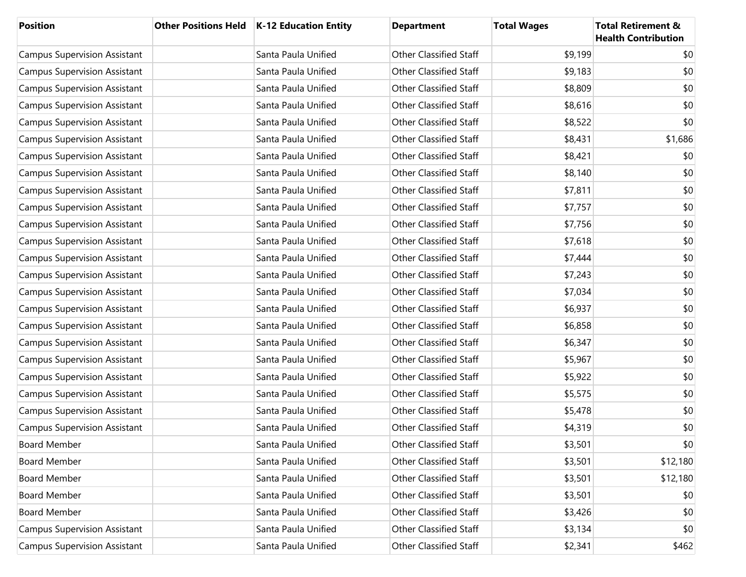| <b>Position</b>                     | <b>Other Positions Held</b> | <b>K-12 Education Entity</b> | <b>Department</b>             | <b>Total Wages</b> | <b>Total Retirement &amp;</b><br><b>Health Contribution</b> |
|-------------------------------------|-----------------------------|------------------------------|-------------------------------|--------------------|-------------------------------------------------------------|
| <b>Campus Supervision Assistant</b> |                             | Santa Paula Unified          | <b>Other Classified Staff</b> | \$9,199            | \$0                                                         |
| <b>Campus Supervision Assistant</b> |                             | Santa Paula Unified          | <b>Other Classified Staff</b> | \$9,183            | \$0                                                         |
| <b>Campus Supervision Assistant</b> |                             | Santa Paula Unified          | <b>Other Classified Staff</b> | \$8,809            | \$0                                                         |
| <b>Campus Supervision Assistant</b> |                             | Santa Paula Unified          | <b>Other Classified Staff</b> | \$8,616            | \$0                                                         |
| <b>Campus Supervision Assistant</b> |                             | Santa Paula Unified          | <b>Other Classified Staff</b> | \$8,522            | \$0                                                         |
| <b>Campus Supervision Assistant</b> |                             | Santa Paula Unified          | <b>Other Classified Staff</b> | \$8,431            | \$1,686                                                     |
| <b>Campus Supervision Assistant</b> |                             | Santa Paula Unified          | <b>Other Classified Staff</b> | \$8,421            | \$0                                                         |
| <b>Campus Supervision Assistant</b> |                             | Santa Paula Unified          | <b>Other Classified Staff</b> | \$8,140            | \$0                                                         |
| <b>Campus Supervision Assistant</b> |                             | Santa Paula Unified          | <b>Other Classified Staff</b> | \$7,811            | \$0                                                         |
| <b>Campus Supervision Assistant</b> |                             | Santa Paula Unified          | <b>Other Classified Staff</b> | \$7,757            | \$0                                                         |
| <b>Campus Supervision Assistant</b> |                             | Santa Paula Unified          | <b>Other Classified Staff</b> | \$7,756            | \$0                                                         |
| <b>Campus Supervision Assistant</b> |                             | Santa Paula Unified          | <b>Other Classified Staff</b> | \$7,618            | \$0                                                         |
| <b>Campus Supervision Assistant</b> |                             | Santa Paula Unified          | <b>Other Classified Staff</b> | \$7,444            | \$0                                                         |
| <b>Campus Supervision Assistant</b> |                             | Santa Paula Unified          | <b>Other Classified Staff</b> | \$7,243            | \$0                                                         |
| <b>Campus Supervision Assistant</b> |                             | Santa Paula Unified          | <b>Other Classified Staff</b> | \$7,034            | \$0                                                         |
| <b>Campus Supervision Assistant</b> |                             | Santa Paula Unified          | <b>Other Classified Staff</b> | \$6,937            | \$0                                                         |
| <b>Campus Supervision Assistant</b> |                             | Santa Paula Unified          | <b>Other Classified Staff</b> | \$6,858            | \$0                                                         |
| <b>Campus Supervision Assistant</b> |                             | Santa Paula Unified          | <b>Other Classified Staff</b> | \$6,347            | \$0                                                         |
| <b>Campus Supervision Assistant</b> |                             | Santa Paula Unified          | <b>Other Classified Staff</b> | \$5,967            | \$0                                                         |
| <b>Campus Supervision Assistant</b> |                             | Santa Paula Unified          | <b>Other Classified Staff</b> | \$5,922            | \$0                                                         |
| <b>Campus Supervision Assistant</b> |                             | Santa Paula Unified          | <b>Other Classified Staff</b> | \$5,575            | \$0                                                         |
| <b>Campus Supervision Assistant</b> |                             | Santa Paula Unified          | <b>Other Classified Staff</b> | \$5,478            | \$0                                                         |
| <b>Campus Supervision Assistant</b> |                             | Santa Paula Unified          | <b>Other Classified Staff</b> | \$4,319            | \$0                                                         |
| <b>Board Member</b>                 |                             | Santa Paula Unified          | <b>Other Classified Staff</b> | \$3,501            | \$0                                                         |
| <b>Board Member</b>                 |                             | Santa Paula Unified          | <b>Other Classified Staff</b> | \$3,501            | \$12,180                                                    |
| <b>Board Member</b>                 |                             | Santa Paula Unified          | Other Classified Staff        | \$3,501            | \$12,180                                                    |
| <b>Board Member</b>                 |                             | Santa Paula Unified          | <b>Other Classified Staff</b> | \$3,501            | \$0                                                         |
| Board Member                        |                             | Santa Paula Unified          | Other Classified Staff        | \$3,426            | \$0                                                         |
| <b>Campus Supervision Assistant</b> |                             | Santa Paula Unified          | <b>Other Classified Staff</b> | \$3,134            | \$0                                                         |
| <b>Campus Supervision Assistant</b> |                             | Santa Paula Unified          | Other Classified Staff        | \$2,341            | \$462                                                       |